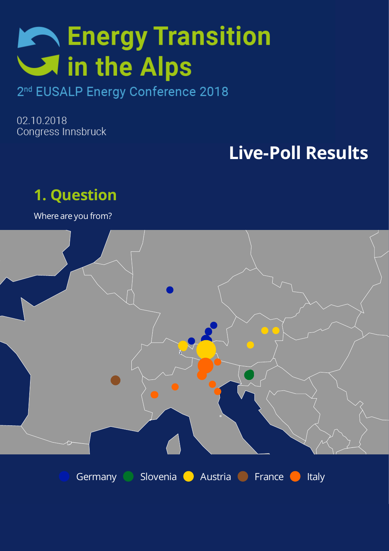# **Reading Service Service Service Service Service Service Service Service Service Service Service Service Service Service Service Service Service Service Service Service Service Service S** in the Alps

#### 2<sup>nd</sup> EUSALP Energy Conference 2018

02.10.2018 Congress Innsbruck

# **Live-Poll Results**



Where are you from?

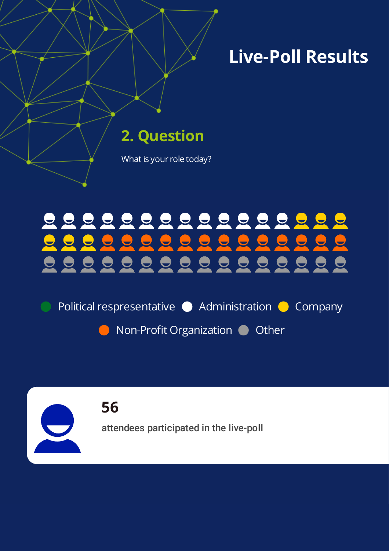**2. Question**

imperdiet met tempor risus orcidients or constant  $\sim$ 

What is your role today?

#### 0000000000000 0000000 <u>i g</u> 000000000000000

Political respresentative  $\bullet$  Administration  $\bullet$  Company

Non-Profit Organization Ocher

**56** attendees participated in the live-poll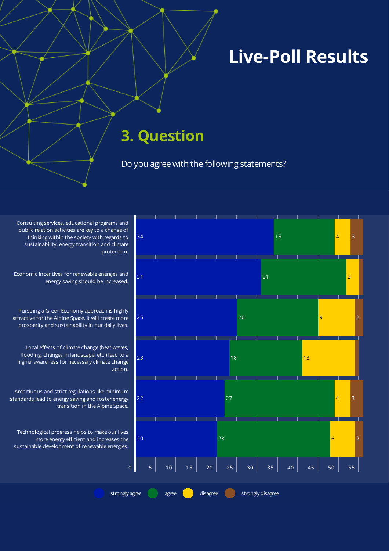#### **3. Question**

imperdiet met tempor risus orcidients or constant  $\sim$ 

Do you agree with the following statements?

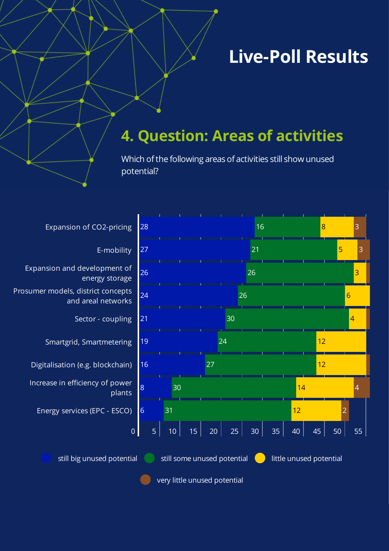#### **4. Question: Areas of activities**

Which of the following areas of activities still show unused potential?

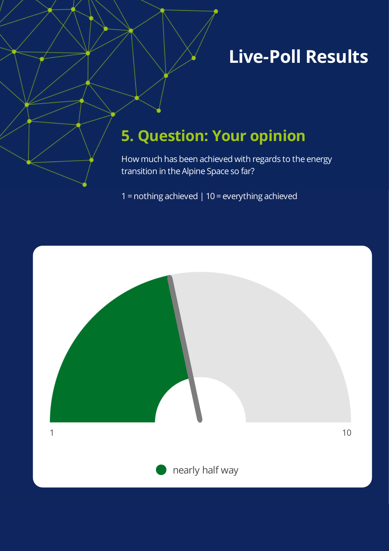### **5. Question: Your opinion**

imperdiet met tempor risus orcidients or constant  $\sim$ 

How much has been achieved with regards to the energy transition in the Alpine Space so far?

1 = nothing achieved | 10 = everything achieved

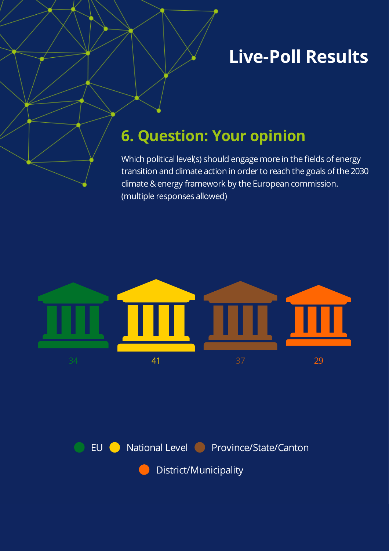#### **6. Question: Your opinion**

Which political level(s) should engage more in the fields of energy transition and climate action in order to reach the goals of the 2030 climate & energy framework by the European commission. (multiple responses allowed)





District/Municipality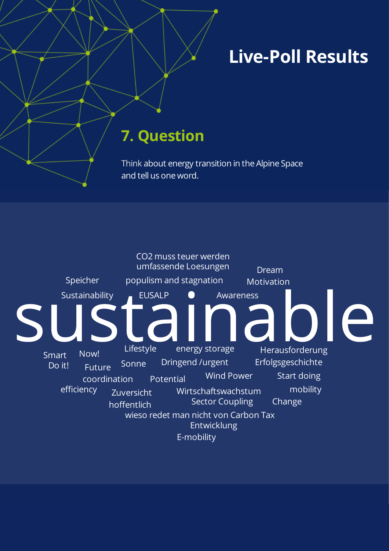#### **7. Question**

Think about energy transition in the Alpine Space and tell us one word.